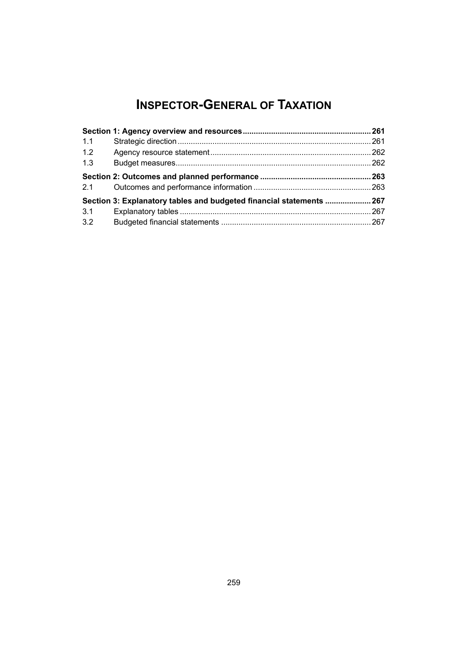## **INSPECTOR-GENERAL OF TAXATION**

| 1.1 |                                                                      |  |
|-----|----------------------------------------------------------------------|--|
| 1.2 |                                                                      |  |
| 1.3 |                                                                      |  |
|     |                                                                      |  |
| 2.1 |                                                                      |  |
|     | Section 3: Explanatory tables and budgeted financial statements  267 |  |
| 3.1 |                                                                      |  |
| 3.2 |                                                                      |  |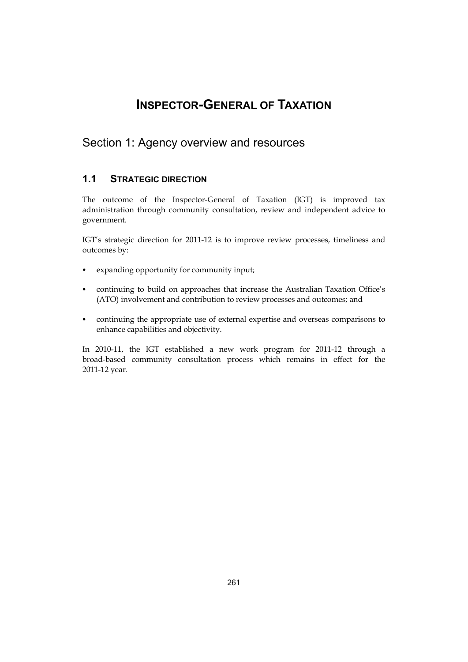## **INSPECTOR-GENERAL OF TAXATION**

## <span id="page-2-0"></span>Section 1: Agency overview and resources

### **1.1 STRATEGIC DIRECTION**

The outcome of the Inspector-General of Taxation (IGT) is improved tax administration through community consultation, review and independent advice to government.

IGT's strategic direction for 2011-12 is to improve review processes, timeliness and outcomes by:

- expanding opportunity for community input;
- continuing to build on approaches that increase the Australian Taxation Office's (ATO) involvement and contribution to review processes and outcomes; and
- • continuing the appropriate use of external expertise and overseas comparisons to enhance capabilities and objectivity.

In 2010-11, the IGT established a new work program for 2011-12 through a broad-based community consultation process which remains in effect for the 2011-12 year.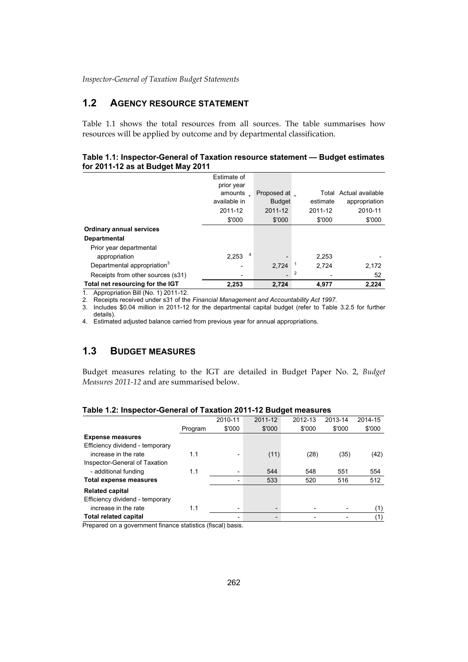## **1.2 AGENCY RESOURCE STATEMENT**

Table 1.1 shows the total resources from all sources. The table summarises how resources will be applied by outcome and by departmental classification.

#### **Table 1.1: Inspector-General of Taxation resource statement — Budget estimates for 2011-12 as at Budget May 2011**

|                                         | Estimate of<br>prior year |               |                |                        |
|-----------------------------------------|---------------------------|---------------|----------------|------------------------|
|                                         | amounts $\mathbf{r}$      | Proposed at _ |                | Total Actual available |
|                                         | available in              | <b>Budget</b> | estimate       | appropriation          |
|                                         | 2011-12                   | 2011-12       | 2011-12        | 2010-11                |
|                                         | \$'000                    | \$'000        | \$'000         | \$'000                 |
| <b>Ordinary annual services</b>         |                           |               |                |                        |
| <b>Departmental</b>                     |                           |               |                |                        |
| Prior year departmental                 |                           |               |                |                        |
| appropriation                           | 4<br>2,253                |               | 2,253          |                        |
| Departmental appropriation <sup>3</sup> |                           | 2.724         | 2.724          | 2,172                  |
| Receipts from other sources (s31)       |                           |               | $\overline{2}$ | 52                     |
| Total net resourcing for the IGT        | 2,253                     | 2,724         | 4.977          | 2,224                  |

1. Appropriation Bill (No. 1) 2011-12.

2. Receipts received under s31 of the *Financial Management and Accountability Act 1997.* 

3. Includes \$0.04 million in 2011-12 for the departmental capital budget (refer to Table 3.2.5 for further details).

4. Estimated adjusted balance carried from previous year for annual appropriations.

## **1.3 BUDGET MEASURES**

 *Measures 2011-12* and are summarised below. Budget measures relating to the IGT are detailed in Budget Paper No. 2, *Budget* 

| Table 1.2: Inspector-General of Taxation 2011-12 Budget measures |  |  |  |  |  |  |  |
|------------------------------------------------------------------|--|--|--|--|--|--|--|
|------------------------------------------------------------------|--|--|--|--|--|--|--|

|                                 |         | 2010-11                  | 2011-12 | 2012-13 | 2013-14 | 2014-15 |
|---------------------------------|---------|--------------------------|---------|---------|---------|---------|
|                                 | Program | \$'000                   | \$'000  | \$'000  | \$'000  | \$'000  |
| <b>Expense measures</b>         |         |                          |         |         |         |         |
| Efficiency dividend - temporary |         |                          |         |         |         |         |
| increase in the rate            | 1.1     |                          | (11)    | (28)    | (35)    | (42)    |
| Inspector-General of Taxation   |         |                          |         |         |         |         |
| - additional funding            | 1.1     | $\overline{\phantom{0}}$ | 544     | 548     | 551     | 554     |
| <b>Total expense measures</b>   |         |                          | 533     | 520     | 516     | 512     |
| <b>Related capital</b>          |         |                          |         |         |         |         |
| Efficiency dividend - temporary |         |                          |         |         |         |         |
| increase in the rate            | 1.1     | $\overline{\phantom{0}}$ | -       |         |         | (1)     |
| Total related capital           |         |                          |         |         |         | (1)     |

Prepared on a government finance statistics (fiscal) basis.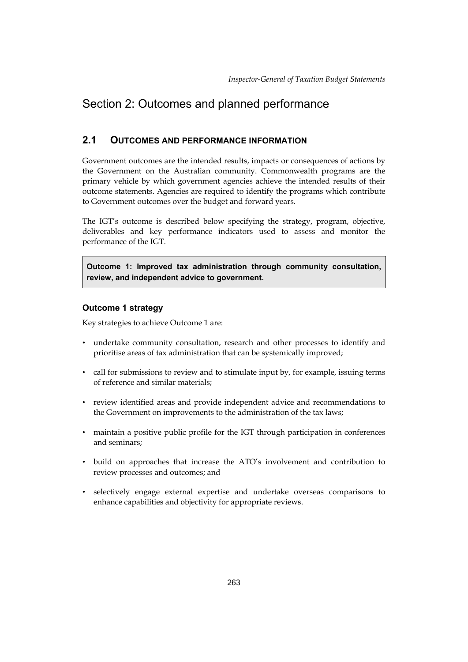## <span id="page-4-0"></span>Section 2: Outcomes and planned performance

### **2.1 OUTCOMES AND PERFORMANCE INFORMATION**

Government outcomes are the intended results, impacts or consequences of actions by the Government on the Australian community. Commonwealth programs are the primary vehicle by which government agencies achieve the intended results of their outcome statements. Agencies are required to identify the programs which contribute to Government outcomes over the budget and forward years.

The IGT's outcome is described below specifying the strategy, program, objective, deliverables and key performance indicators used to assess and monitor the performance of the IGT.

**Outcome 1: Improved tax administration through community consultation, review, and independent advice to government.** 

### **Outcome 1 strategy**

Key strategies to achieve Outcome 1 are:

- • undertake community consultation, research and other processes to identify and prioritise areas of tax administration that can be systemically improved;
- • call for submissions to review and to stimulate input by, for example, issuing terms of reference and similar materials;
- • review identified areas and provide independent advice and recommendations to the Government on improvements to the administration of the tax laws;
- maintain a positive public profile for the IGT through participation in conferences and seminars;
- • build on approaches that increase the ATO's involvement and contribution to review processes and outcomes; and
- • selectively engage external expertise and undertake overseas comparisons to enhance capabilities and objectivity for appropriate reviews.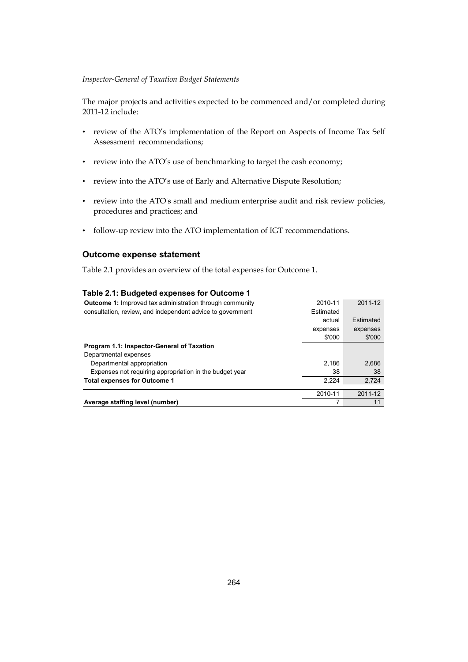The major projects and activities expected to be commenced and/or completed during 2011-12 include:

- review of the ATO's implementation of the Report on Aspects of Income Tax Self Assessment recommendations;
- review into the ATO's use of benchmarking to target the cash economy;
- • review into the ATO's use of Early and Alternative Dispute Resolution;
- • review into the ATO's small and medium enterprise audit and risk review policies, procedures and practices; and
- follow-up review into the ATO implementation of IGT recommendations.

### **Outcome expense statement**

Table 2.1 provides an overview of the total expenses for Outcome 1.

| Average staffing level (number)                                 |           | 11        |
|-----------------------------------------------------------------|-----------|-----------|
|                                                                 | 2010-11   | 2011-12   |
| <b>Total expenses for Outcome 1</b>                             | 2.224     | 2,724     |
| Expenses not requiring appropriation in the budget year         | 38        | 38        |
| Departmental appropriation                                      | 2.186     | 2.686     |
| Departmental expenses                                           |           |           |
| Program 1.1: Inspector-General of Taxation                      |           |           |
|                                                                 | \$'000    | \$'000    |
|                                                                 | expenses  | expenses  |
|                                                                 | actual    | Estimated |
| consultation, review, and independent advice to government      | Estimated |           |
| <b>Outcome 1:</b> Improved tax administration through community | 2010-11   | 2011-12   |

#### **Table 2.1: Budgeted expenses for Outcome 1**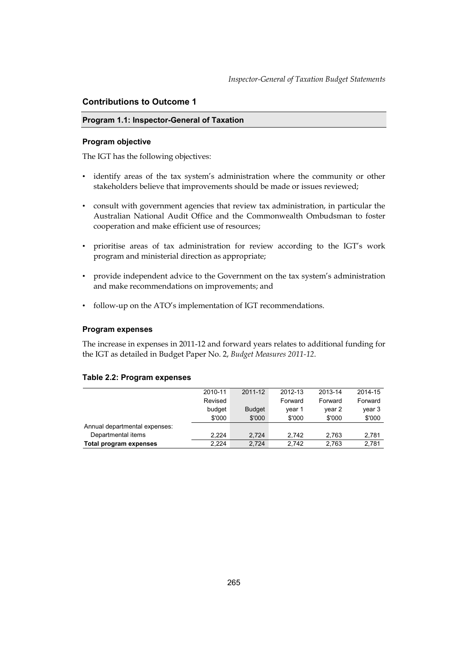### **Contributions to Outcome 1**

### **Program 1.1: Inspector-General of Taxation**

### **Program objective**

The IGT has the following objectives:

- identify areas of the tax system's administration where the community or other stakeholders believe that improvements should be made or issues reviewed;
- • consult with government agencies that review tax administration, in particular the Australian National Audit Office and the Commonwealth Ombudsman to foster cooperation and make efficient use of resources;
- • prioritise areas of tax administration for review according to the IGT's work program and ministerial direction as appropriate;
- provide independent advice to the Government on the tax system's administration and make recommendations on improvements; and
- follow-up on the ATO's implementation of IGT recommendations.

#### **Program expenses**

The increase in expenses in 2011-12 and forward years relates to additional funding for the IGT as detailed in Budget Paper No. 2, *Budget Measures 2011-12*.

### **Table 2.2: Program expenses**

|                               | 2010-11 | 2011-12       | 2012-13 | 2013-14 | 2014-15 |
|-------------------------------|---------|---------------|---------|---------|---------|
|                               | Revised |               | Forward | Forward | Forward |
|                               | budget  | <b>Budget</b> | vear 1  | vear 2  | year 3  |
|                               | \$'000  | \$'000        | \$'000  | \$'000  | \$'000  |
| Annual departmental expenses: |         |               |         |         |         |
| Departmental items            | 2.224   | 2.724         | 2.742   | 2.763   | 2,781   |
| Total program expenses        | 2.224   | 2.724         | 2.742   | 2.763   | 2,781   |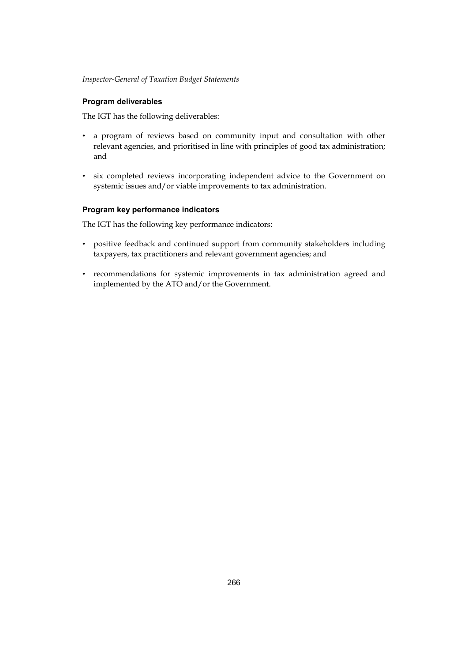### **Program deliverables**

The IGT has the following deliverables:

- • a program of reviews based on community input and consultation with other relevant agencies, and prioritised in line with principles of good tax administration; and
- • six completed reviews incorporating independent advice to the Government on systemic issues and/or viable improvements to tax administration.

### **Program key performance indicators**

The IGT has the following key performance indicators:

- • positive feedback and continued support from community stakeholders including taxpayers, tax practitioners and relevant government agencies; and
- • recommendations for systemic improvements in tax administration agreed and implemented by the ATO and/or the Government.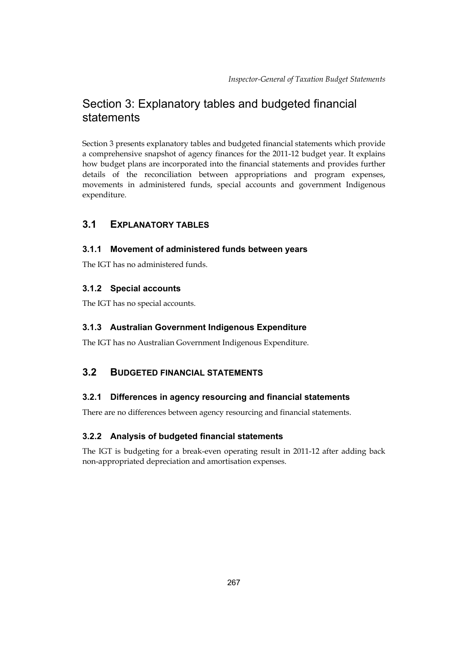## <span id="page-8-0"></span>Section 3: Explanatory tables and budgeted financial statements

Section 3 presents explanatory tables and budgeted financial statements which provide a comprehensive snapshot of agency finances for the 2011-12 budget year. It explains how budget plans are incorporated into the financial statements and provides further details of the reconciliation between appropriations and program expenses, movements in administered funds, special accounts and government Indigenous expenditure.

## **3.1 EXPLANATORY TABLES**

### **3.1.1 Movement of administered funds between years**

The IGT has no administered funds.

### **3.1.2 Special accounts**

The IGT has no special accounts.

## **3.1.3 Australian Government Indigenous Expenditure**

The IGT has no Australian Government Indigenous Expenditure.

## **3.2 BUDGETED FINANCIAL STATEMENTS**

## **3.2.1 Differences in agency resourcing and financial statements**

There are no differences between agency resourcing and financial statements.

## **3.2.2 Analysis of budgeted financial statements**

The IGT is budgeting for a break-even operating result in 2011-12 after adding back non-appropriated depreciation and amortisation expenses.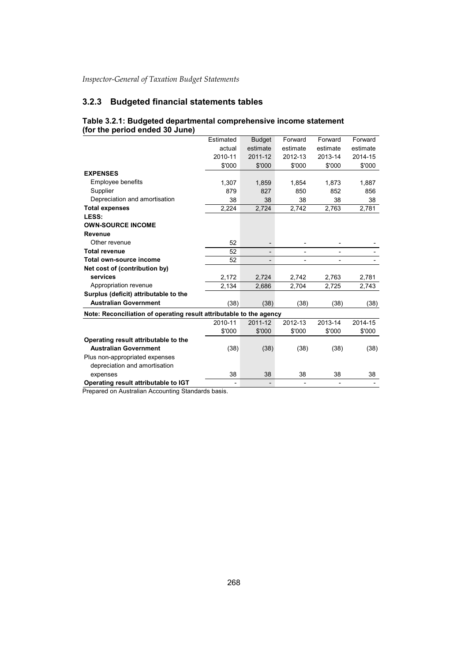### **3.2.3 Budgeted financial statements tables**

| -- --- p---- <i>-</i> ------ - -                                    |           |               |          |          |          |
|---------------------------------------------------------------------|-----------|---------------|----------|----------|----------|
|                                                                     | Estimated | <b>Budget</b> | Forward  | Forward  | Forward  |
|                                                                     | actual    | estimate      | estimate | estimate | estimate |
|                                                                     | 2010-11   | 2011-12       | 2012-13  | 2013-14  | 2014-15  |
|                                                                     | \$'000    | \$'000        | \$'000   | \$'000   | \$'000   |
| <b>EXPENSES</b>                                                     |           |               |          |          |          |
| <b>Employee benefits</b>                                            | 1,307     | 1,859         | 1,854    | 1,873    | 1,887    |
| Supplier                                                            | 879       | 827           | 850      | 852      | 856      |
| Depreciation and amortisation                                       | 38        | 38            | 38       | 38       | 38       |
| <b>Total expenses</b>                                               | 2,224     | 2,724         | 2,742    | 2,763    | 2,781    |
| LESS:                                                               |           |               |          |          |          |
| <b>OWN-SOURCE INCOME</b>                                            |           |               |          |          |          |
| <b>Revenue</b>                                                      |           |               |          |          |          |
| Other revenue                                                       | 52        |               |          |          |          |
| <b>Total revenue</b>                                                | 52        |               |          |          |          |
| Total own-source income                                             | 52        |               |          |          |          |
| Net cost of (contribution by)                                       |           |               |          |          |          |
| services                                                            | 2,172     | 2,724         | 2,742    | 2,763    | 2,781    |
| Appropriation revenue                                               | 2,134     | 2,686         | 2,704    | 2,725    | 2,743    |
| Surplus (deficit) attributable to the                               |           |               |          |          |          |
| <b>Australian Government</b>                                        | (38)      | (38)          | (38)     | (38)     | (38)     |
| Note: Reconciliation of operating result attributable to the agency |           |               |          |          |          |
|                                                                     | 2010-11   | 2011-12       | 2012-13  | 2013-14  | 2014-15  |
|                                                                     | \$'000    | \$'000        | \$'000   | \$'000   | \$'000   |
| Operating result attributable to the                                |           |               |          |          |          |
| <b>Australian Government</b>                                        | (38)      | (38)          | (38)     | (38)     | (38)     |
| Plus non-appropriated expenses                                      |           |               |          |          |          |
| depreciation and amortisation                                       |           |               |          |          |          |
| expenses                                                            | 38        | 38            | 38       | 38       | 38       |
| Operating result attributable to IGT                                |           |               |          |          |          |
|                                                                     |           |               |          |          |          |

#### **Table 3.2.1: Budgeted departmental comprehensive income statement (for the period ended 30 June)**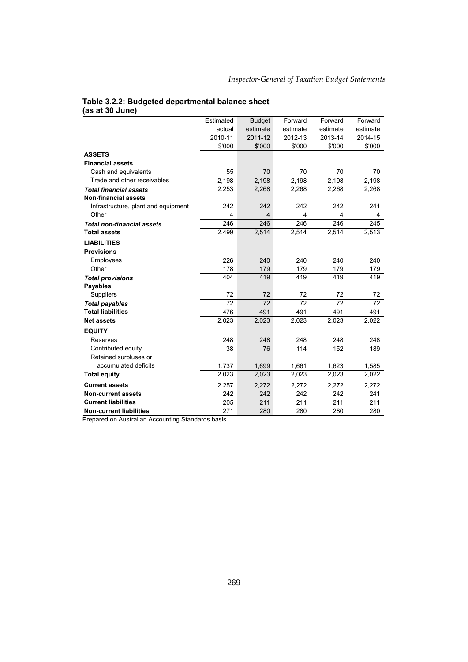### **Table 3.2.2: Budgeted departmental balance sheet (as at 30 June)**

|                                     | Estimated | <b>Budget</b> | Forward  | Forward  | Forward  |
|-------------------------------------|-----------|---------------|----------|----------|----------|
|                                     | actual    | estimate      | estimate | estimate | estimate |
|                                     | 2010-11   | 2011-12       | 2012-13  | 2013-14  | 2014-15  |
|                                     | \$'000    | \$'000        | \$'000   | \$'000   | \$'000   |
| <b>ASSETS</b>                       |           |               |          |          |          |
| <b>Financial assets</b>             |           |               |          |          |          |
| Cash and equivalents                | 55        | 70            | 70       | 70       | 70       |
| Trade and other receivables         | 2,198     | 2,198         | 2,198    | 2,198    | 2,198    |
| <b>Total financial assets</b>       | 2,253     | 2,268         | 2,268    | 2,268    | 2,268    |
| <b>Non-financial assets</b>         |           |               |          |          |          |
| Infrastructure, plant and equipment | 242       | 242           | 242      | 242      | 241      |
| Other                               | 4         | 4             | 4        | 4        | 4        |
| <b>Total non-financial assets</b>   | 246       | 246           | 246      | 246      | 245      |
| <b>Total assets</b>                 | 2,499     | 2,514         | 2,514    | 2,514    | 2,513    |
| <b>LIABILITIES</b>                  |           |               |          |          |          |
| <b>Provisions</b>                   |           |               |          |          |          |
| Employees                           | 226       | 240           | 240      | 240      | 240      |
| Other                               | 178       | 179           | 179      | 179      | 179      |
| <b>Total provisions</b>             | 404       | 419           | 419      | 419      | 419      |
| <b>Payables</b>                     |           |               |          |          |          |
| <b>Suppliers</b>                    | 72        | 72            | 72       | 72       | 72       |
| <b>Total payables</b>               | 72        | 72            | 72       | 72       | 72       |
| <b>Total liabilities</b>            | 476       | 491           | 491      | 491      | 491      |
| <b>Net assets</b>                   | 2,023     | 2,023         | 2,023    | 2,023    | 2,022    |
| <b>EQUITY</b>                       |           |               |          |          |          |
| Reserves                            | 248       | 248           | 248      | 248      | 248      |
| Contributed equity                  | 38        | 76            | 114      | 152      | 189      |
| Retained surpluses or               |           |               |          |          |          |
| accumulated deficits                | 1,737     | 1,699         | 1,661    | 1,623    | 1,585    |
| <b>Total equity</b>                 | 2,023     | 2,023         | 2,023    | 2,023    | 2,022    |
| <b>Current assets</b>               | 2,257     | 2,272         | 2,272    | 2,272    | 2,272    |
| <b>Non-current assets</b>           | 242       | 242           | 242      | 242      | 241      |
| <b>Current liabilities</b>          | 205       | 211           | 211      | 211      | 211      |
| <b>Non-current liabilities</b>      | 271       | 280           | 280      | 280      | 280      |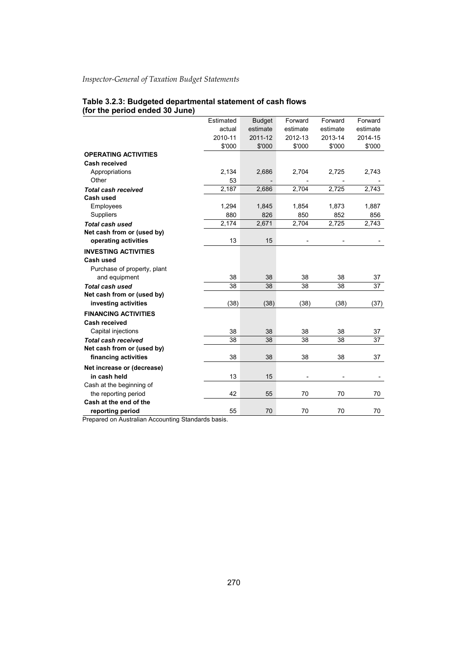# **Table 3.2.3: Budgeted departmental statement of cash flows (for the period ended 30 June)**

|                                                   | Estimated | <b>Budget</b> | Forward  | Forward  | Forward  |
|---------------------------------------------------|-----------|---------------|----------|----------|----------|
|                                                   | actual    | estimate      | estimate | estimate | estimate |
|                                                   | 2010-11   | 2011-12       | 2012-13  | 2013-14  | 2014-15  |
|                                                   | \$'000    | \$'000        | \$'000   | \$'000   | \$'000   |
| <b>OPERATING ACTIVITIES</b>                       |           |               |          |          |          |
| <b>Cash received</b>                              |           |               |          |          |          |
| Appropriations                                    | 2,134     | 2,686         | 2,704    | 2,725    | 2,743    |
| Other                                             | 53        |               |          |          |          |
| <b>Total cash received</b>                        | 2,187     | 2,686         | 2,704    | 2,725    | 2,743    |
| Cash used                                         |           |               |          |          |          |
| Employees                                         | 1,294     | 1,845         | 1,854    | 1,873    | 1,887    |
| Suppliers                                         | 880       | 826           | 850      | 852      | 856      |
| <b>Total cash used</b>                            | 2,174     | 2,671         | 2,704    | 2,725    | 2,743    |
| Net cash from or (used by)                        |           |               |          |          |          |
| operating activities                              | 13        | 15            |          |          |          |
| <b>INVESTING ACTIVITIES</b>                       |           |               |          |          |          |
| Cash used                                         |           |               |          |          |          |
| Purchase of property, plant                       |           |               |          |          |          |
| and equipment                                     | 38        | 38            | 38       | 38       | 37       |
| <b>Total cash used</b>                            | 38        | 38            | 38       | 38       | 37       |
| Net cash from or (used by)                        |           |               |          |          |          |
| investing activities                              | (38)      | (38)          | (38)     | (38)     | (37)     |
| <b>FINANCING ACTIVITIES</b>                       |           |               |          |          |          |
| <b>Cash received</b>                              |           |               |          |          |          |
| Capital injections                                | 38        | 38            | 38       | 38       | 37       |
| <b>Total cash received</b>                        | 38        | 38            | 38       | 38       | 37       |
| Net cash from or (used by)                        |           |               |          |          |          |
| financing activities                              | 38        | 38            | 38       | 38       | 37       |
| Net increase or (decrease)                        |           |               |          |          |          |
| in cash held                                      | 13        | 15            |          |          |          |
| Cash at the beginning of                          |           |               |          |          |          |
| the reporting period                              | 42        | 55            | 70       | 70       | 70       |
| Cash at the end of the                            |           |               |          |          |          |
| reporting period                                  | 55        | 70            | 70       | 70       | 70       |
| Proparod on Australian Accounting Standards basis |           |               |          |          |          |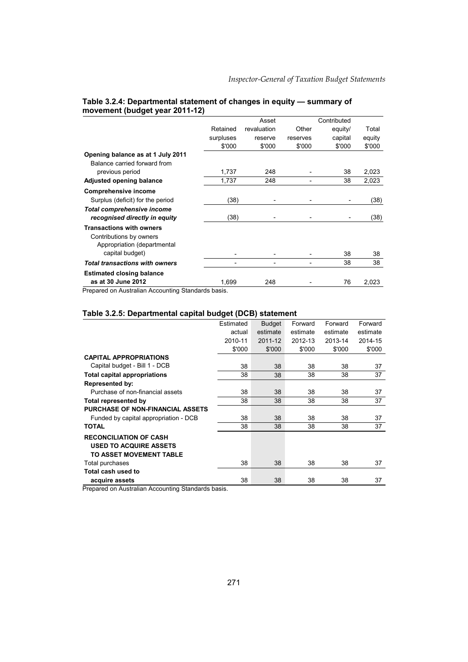|                                       |           | Asset       |          | Contributed |        |
|---------------------------------------|-----------|-------------|----------|-------------|--------|
|                                       | Retained  | revaluation | Other    | equity/     | Total  |
|                                       | surpluses | reserve     | reserves | capital     | equity |
|                                       | \$'000    | \$'000      | \$'000   | \$'000      | \$'000 |
| Opening balance as at 1 July 2011     |           |             |          |             |        |
| Balance carried forward from          |           |             |          |             |        |
| previous period                       | 1,737     | 248         |          | 38          | 2,023  |
| Adjusted opening balance              | 1.737     | 248         |          | 38          | 2,023  |
| <b>Comprehensive income</b>           |           |             |          |             |        |
| Surplus (deficit) for the period      | (38)      |             |          |             | (38)   |
| <b>Total comprehensive income</b>     |           |             |          |             |        |
| recognised directly in equity         | (38)      |             |          |             | (38)   |
| <b>Transactions with owners</b>       |           |             |          |             |        |
| Contributions by owners               |           |             |          |             |        |
| Appropriation (departmental           |           |             |          |             |        |
| capital budget)                       |           |             |          | 38          | 38     |
| <b>Total transactions with owners</b> |           |             |          | 38          | 38     |
| <b>Estimated closing balance</b>      |           |             |          |             |        |
| as at 30 June 2012                    | 1.699     | 248         |          | 76          | 2,023  |

### **Table 3.2.4: Departmental statement of changes in equity — summary of movement (budget year 2011-12)**

Prepared on Australian Accounting Standards basis.

### **Table 3.2.5: Departmental capital budget (DCB) statement**

|                                         | Estimated | <b>Budget</b> | Forward  | Forward  | Forward  |
|-----------------------------------------|-----------|---------------|----------|----------|----------|
|                                         | actual    | estimate      | estimate | estimate | estimate |
|                                         | 2010-11   | 2011-12       | 2012-13  | 2013-14  | 2014-15  |
|                                         | \$'000    | \$'000        | \$'000   | \$'000   | \$'000   |
| <b>CAPITAL APPROPRIATIONS</b>           |           |               |          |          |          |
| Capital budget - Bill 1 - DCB           | 38        | 38            | 38       | 38       | 37       |
| <b>Total capital appropriations</b>     | 38        | 38            | 38       | 38       | 37       |
| <b>Represented by:</b>                  |           |               |          |          |          |
| Purchase of non-financial assets        | 38        | 38            | 38       | 38       | 37       |
| Total represented by                    | 38        | 38            | 38       | 38       | 37       |
| <b>PURCHASE OF NON-FINANCIAL ASSETS</b> |           |               |          |          |          |
| Funded by capital appropriation - DCB   | 38        | 38            | 38       | 38       | 37       |
| <b>TOTAL</b>                            | 38        | 38            | 38       | 38       | 37       |
| <b>RECONCILIATION OF CASH</b>           |           |               |          |          |          |
| <b>USED TO ACQUIRE ASSETS</b>           |           |               |          |          |          |
| TO ASSET MOVEMENT TABLE                 |           |               |          |          |          |
| Total purchases                         | 38        | 38            | 38       | 38       | 37       |
| Total cash used to                      |           |               |          |          |          |
| acquire assets                          | 38        | 38            | 38       | 38       | 37       |